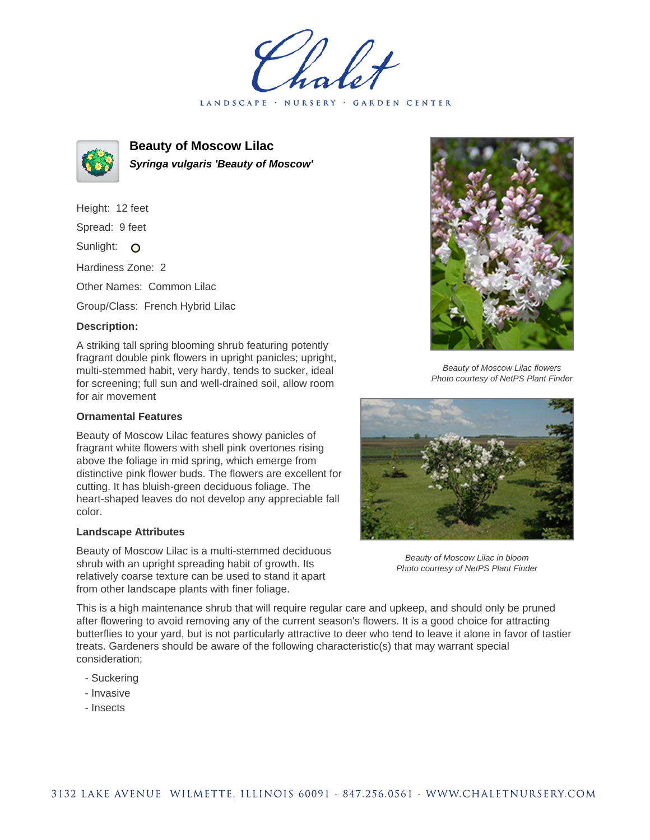LANDSCAPE · NURSERY · GARDEN CENTER



**Beauty of Moscow Lilac Syringa vulgaris 'Beauty of Moscow'**

Height: 12 feet Spread: 9 feet

Sunlight: O

Hardiness Zone: 2

Other Names: Common Lilac

Group/Class: French Hybrid Lilac

## **Description:**

A striking tall spring blooming shrub featuring potently fragrant double pink flowers in upright panicles; upright, multi-stemmed habit, very hardy, tends to sucker, ideal for screening; full sun and well-drained soil, allow room for air movement

## **Ornamental Features**

Beauty of Moscow Lilac features showy panicles of fragrant white flowers with shell pink overtones rising above the foliage in mid spring, which emerge from distinctive pink flower buds. The flowers are excellent for cutting. It has bluish-green deciduous foliage. The heart-shaped leaves do not develop any appreciable fall color.

## **Landscape Attributes**

Beauty of Moscow Lilac is a multi-stemmed deciduous shrub with an upright spreading habit of growth. Its relatively coarse texture can be used to stand it apart from other landscape plants with finer foliage.



Beauty of Moscow Lilac flowers Photo courtesy of NetPS Plant Finder



Beauty of Moscow Lilac in bloom Photo courtesy of NetPS Plant Finder

This is a high maintenance shrub that will require regular care and upkeep, and should only be pruned after flowering to avoid removing any of the current season's flowers. It is a good choice for attracting butterflies to your yard, but is not particularly attractive to deer who tend to leave it alone in favor of tastier treats. Gardeners should be aware of the following characteristic(s) that may warrant special consideration;

- Suckering
- Invasive
- Insects